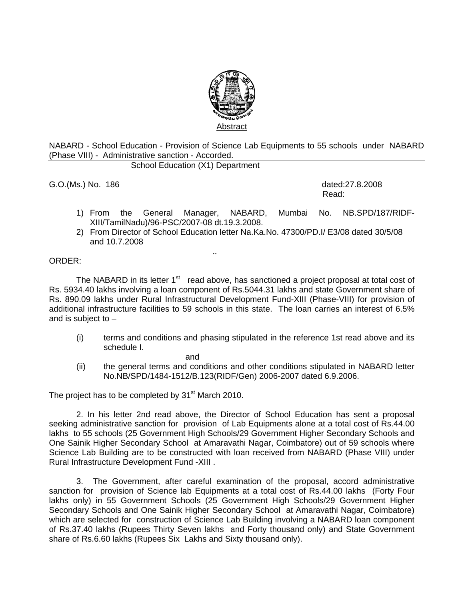

NABARD - School Education - Provision of Science Lab Equipments to 55 schools under NABARD (Phase VIII) - Administrative sanction - Accorded.

School Education (X1) Department

G.O.(Ms.) No. 186 dated:27.8.2008

**Read:** The contract of the contract of the contract of the contract of the contract of the contract of the contract of the contract of the contract of the contract of the contract of the contract of the contract of the co

- 1) From the General Manager, NABARD, Mumbai No. NB.SPD/187/RIDF-XIII/TamilNadu)/96-PSC/2007-08 dt.19.3.2008.
- 2) From Director of School Education letter Na.Ka.No. 47300/PD.I/ E3/08 dated 30/5/08 and 10.7.2008

## .. ORDER:

The NABARD in its letter  $1<sup>st</sup>$  read above, has sanctioned a project proposal at total cost of Rs. 5934.40 lakhs involving a loan component of Rs.5044.31 lakhs and state Government share of Rs. 890.09 lakhs under Rural Infrastructural Development Fund-XIII (Phase-VIII) for provision of additional infrastructure facilities to 59 schools in this state. The loan carries an interest of 6.5% and is subject to –

(i) terms and conditions and phasing stipulated in the reference 1st read above and its schedule I.

and

(ii) the general terms and conditions and other conditions stipulated in NABARD letter No.NB/SPD/1484-1512/B.123(RIDF/Gen) 2006-2007 dated 6.9.2006.

The project has to be completed by 31<sup>st</sup> March 2010.

2. In his letter 2nd read above, the Director of School Education has sent a proposal seeking administrative sanction for provision of Lab Equipments alone at a total cost of Rs.44.00 lakhs to 55 schools (25 Government High Schools/29 Government Higher Secondary Schools and One Sainik Higher Secondary School at Amaravathi Nagar, Coimbatore) out of 59 schools where Science Lab Building are to be constructed with loan received from NABARD (Phase VIII) under Rural Infrastructure Development Fund -XIII .

3. The Government, after careful examination of the proposal, accord administrative sanction for provision of Science lab Equipments at a total cost of Rs.44.00 lakhs (Forty Four lakhs only) in 55 Government Schools (25 Government High Schools/29 Government Higher Secondary Schools and One Sainik Higher Secondary School at Amaravathi Nagar, Coimbatore) which are selected for construction of Science Lab Building involving a NABARD loan component of Rs.37.40 lakhs (Rupees Thirty Seven lakhs and Forty thousand only) and State Government share of Rs.6.60 lakhs (Rupees Six Lakhs and Sixty thousand only).